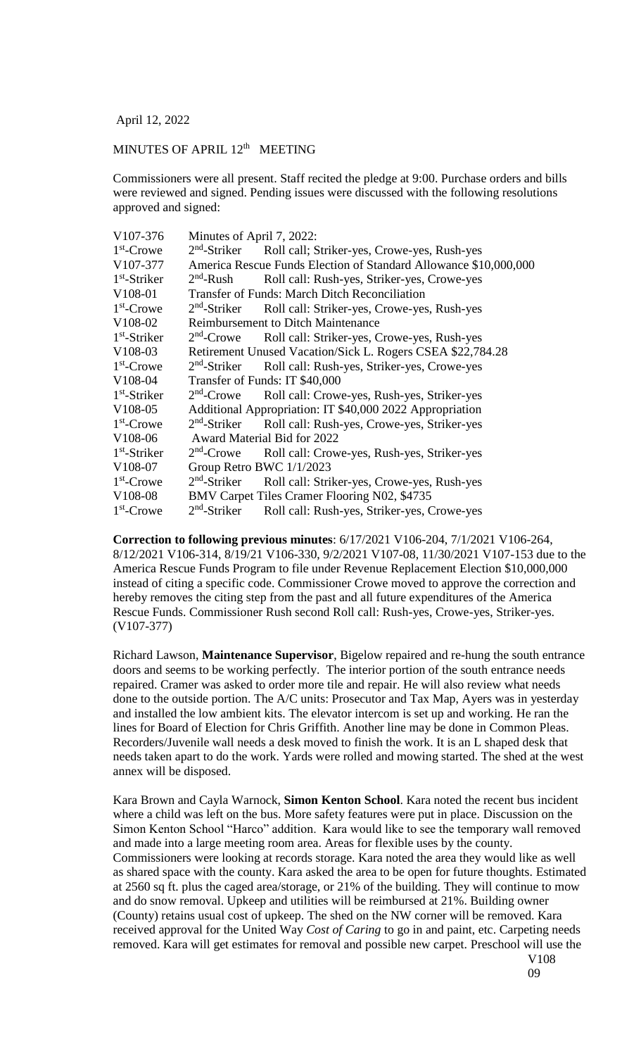April 12, 2022

## MINUTES OF APRIL 12<sup>th</sup> MEETING

Commissioners were all present. Staff recited the pledge at 9:00. Purchase orders and bills were reviewed and signed. Pending issues were discussed with the following resolutions approved and signed:

| V107-376       | Minutes of April 7, 2022:                                        |                                                                    |
|----------------|------------------------------------------------------------------|--------------------------------------------------------------------|
| $1st$ -Crowe   | $2nd$ -Striker                                                   | Roll call; Striker-yes, Crowe-yes, Rush-yes                        |
| V107-377       | America Rescue Funds Election of Standard Allowance \$10,000,000 |                                                                    |
| $1st$ -Striker | $2nd$ -Rush                                                      | Roll call: Rush-yes, Striker-yes, Crowe-yes                        |
| $V108-01$      | <b>Transfer of Funds: March Ditch Reconciliation</b>             |                                                                    |
| $1st$ -Crowe   |                                                                  | $2nd$ -Striker Roll call: Striker-yes, Crowe-yes, Rush-yes         |
| V108-02        | <b>Reimbursement to Ditch Maintenance</b>                        |                                                                    |
| $1st$ -Striker |                                                                  | 2 <sup>nd</sup> -Crowe Roll call: Striker-yes, Crowe-yes, Rush-yes |
| V108-03        | Retirement Unused Vacation/Sick L. Rogers CSEA \$22,784.28       |                                                                    |
| $1st$ -Crowe   | $2nd$ -Striker                                                   | Roll call: Rush-yes, Striker-yes, Crowe-yes                        |
| V108-04        | Transfer of Funds: IT \$40,000                                   |                                                                    |
| $1st$ -Striker | $2nd$ -Crowe                                                     | Roll call: Crowe-yes, Rush-yes, Striker-yes                        |
| $V108-05$      | Additional Appropriation: IT \$40,000 2022 Appropriation         |                                                                    |
| $1st$ -Crowe   | $2nd$ -Striker                                                   | Roll call: Rush-yes, Crowe-yes, Striker-yes                        |
| V108-06        | Award Material Bid for 2022                                      |                                                                    |
| $1st$ -Striker | $2nd$ -Crowe                                                     | Roll call: Crowe-yes, Rush-yes, Striker-yes                        |
| V108-07        | Group Retro BWC 1/1/2023                                         |                                                                    |
| $1st$ -Crowe   | $2nd$ -Striker                                                   | Roll call: Striker-yes, Crowe-yes, Rush-yes                        |
| V108-08        | BMV Carpet Tiles Cramer Flooring N02, \$4735                     |                                                                    |
| $1st$ -Crowe   | $2nd$ -Striker                                                   | Roll call: Rush-yes, Striker-yes, Crowe-yes                        |

**Correction to following previous minutes**: 6/17/2021 V106-204, 7/1/2021 V106-264, 8/12/2021 V106-314, 8/19/21 V106-330, 9/2/2021 V107-08, 11/30/2021 V107-153 due to the America Rescue Funds Program to file under Revenue Replacement Election \$10,000,000 instead of citing a specific code. Commissioner Crowe moved to approve the correction and hereby removes the citing step from the past and all future expenditures of the America Rescue Funds. Commissioner Rush second Roll call: Rush-yes, Crowe-yes, Striker-yes. (V107-377)

Richard Lawson, **Maintenance Supervisor**, Bigelow repaired and re-hung the south entrance doors and seems to be working perfectly. The interior portion of the south entrance needs repaired. Cramer was asked to order more tile and repair. He will also review what needs done to the outside portion. The A/C units: Prosecutor and Tax Map, Ayers was in yesterday and installed the low ambient kits. The elevator intercom is set up and working. He ran the lines for Board of Election for Chris Griffith. Another line may be done in Common Pleas. Recorders/Juvenile wall needs a desk moved to finish the work. It is an L shaped desk that needs taken apart to do the work. Yards were rolled and mowing started. The shed at the west annex will be disposed.

Kara Brown and Cayla Warnock, **Simon Kenton School**. Kara noted the recent bus incident where a child was left on the bus. More safety features were put in place. Discussion on the Simon Kenton School "Harco" addition. Kara would like to see the temporary wall removed and made into a large meeting room area. Areas for flexible uses by the county. Commissioners were looking at records storage. Kara noted the area they would like as well as shared space with the county. Kara asked the area to be open for future thoughts. Estimated at 2560 sq ft. plus the caged area/storage, or 21% of the building. They will continue to mow and do snow removal. Upkeep and utilities will be reimbursed at 21%. Building owner (County) retains usual cost of upkeep. The shed on the NW corner will be removed. Kara received approval for the United Way *Cost of Caring* to go in and paint, etc. Carpeting needs removed. Kara will get estimates for removal and possible new carpet. Preschool will use the V108

09